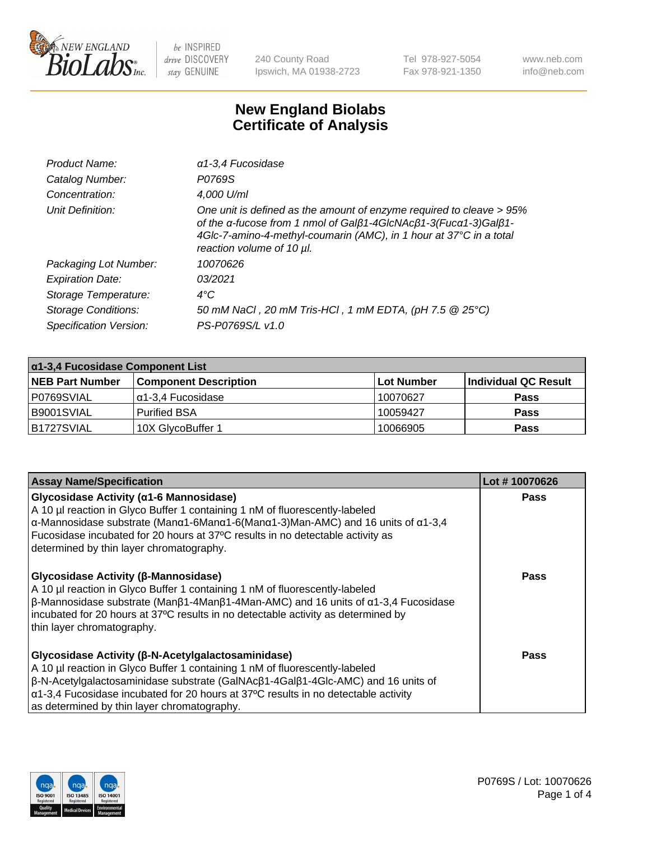

240 County Road Ipswich, MA 01938-2723 Tel 978-927-5054 Fax 978-921-1350 www.neb.com info@neb.com

## **New England Biolabs Certificate of Analysis**

| Product Name:              | a 1-3,4 Fucosidase                                                                                                                                                                                                                         |
|----------------------------|--------------------------------------------------------------------------------------------------------------------------------------------------------------------------------------------------------------------------------------------|
| Catalog Number:            | P0769S                                                                                                                                                                                                                                     |
| Concentration:             | 4,000 U/ml                                                                                                                                                                                                                                 |
| Unit Definition:           | One unit is defined as the amount of enzyme required to cleave > 95%<br>of the α-fucose from 1 nmol of Galβ1-4GIcNAcβ1-3(Fucα1-3)Galβ1-<br>4Glc-7-amino-4-methyl-coumarin (AMC), in 1 hour at 37°C in a total<br>reaction volume of 10 µl. |
| Packaging Lot Number:      | 10070626                                                                                                                                                                                                                                   |
| <b>Expiration Date:</b>    | 03/2021                                                                                                                                                                                                                                    |
| Storage Temperature:       | $4^{\circ}$ C                                                                                                                                                                                                                              |
| <b>Storage Conditions:</b> | 50 mM NaCl, 20 mM Tris-HCl, 1 mM EDTA, (pH 7.5 @ 25°C)                                                                                                                                                                                     |
| Specification Version:     | PS-P0769S/L v1.0                                                                                                                                                                                                                           |

| $\alpha$ 1-3,4 Fucosidase Component List |                              |             |                      |  |
|------------------------------------------|------------------------------|-------------|----------------------|--|
| <b>NEB Part Number</b>                   | <b>Component Description</b> | ∣Lot Number | Individual QC Result |  |
| P0769SVIAL                               | α1-3,4 Fucosidase            | 10070627    | <b>Pass</b>          |  |
| B9001SVIAL                               | <b>Purified BSA</b>          | 10059427    | <b>Pass</b>          |  |
| B1727SVIAL                               | 10X GlycoBuffer 1            | 10066905    | <b>Pass</b>          |  |

| <b>Assay Name/Specification</b>                                                                                                                                                                                                                                                                                                                                                    | Lot #10070626 |
|------------------------------------------------------------------------------------------------------------------------------------------------------------------------------------------------------------------------------------------------------------------------------------------------------------------------------------------------------------------------------------|---------------|
| Glycosidase Activity (α1-6 Mannosidase)<br>A 10 µl reaction in Glyco Buffer 1 containing 1 nM of fluorescently-labeled<br>$\alpha$ -Mannosidase substrate (Man $\alpha$ 1-6Man $\alpha$ 1-6(Man $\alpha$ 1-3)Man-AMC) and 16 units of $\alpha$ 1-3,4<br>Fucosidase incubated for 20 hours at 37°C results in no detectable activity as<br>determined by thin layer chromatography. | <b>Pass</b>   |
| Glycosidase Activity (β-Mannosidase)<br>A 10 µl reaction in Glyco Buffer 1 containing 1 nM of fluorescently-labeled<br>$\beta$ -Mannosidase substrate (Man $\beta$ 1-4Man $\beta$ 1-4Man-AMC) and 16 units of $\alpha$ 1-3,4 Fucosidase<br>incubated for 20 hours at 37°C results in no detectable activity as determined by<br>thin layer chromatography.                         | Pass          |
| Glycosidase Activity (β-N-Acetylgalactosaminidase)<br>A 10 µl reaction in Glyco Buffer 1 containing 1 nM of fluorescently-labeled<br>β-N-Acetylgalactosaminidase substrate (GalNAcβ1-4Galβ1-4Glc-AMC) and 16 units of<br>$\alpha$ 1-3,4 Fucosidase incubated for 20 hours at 37°C results in no detectable activity<br>as determined by thin layer chromatography.                 | <b>Pass</b>   |

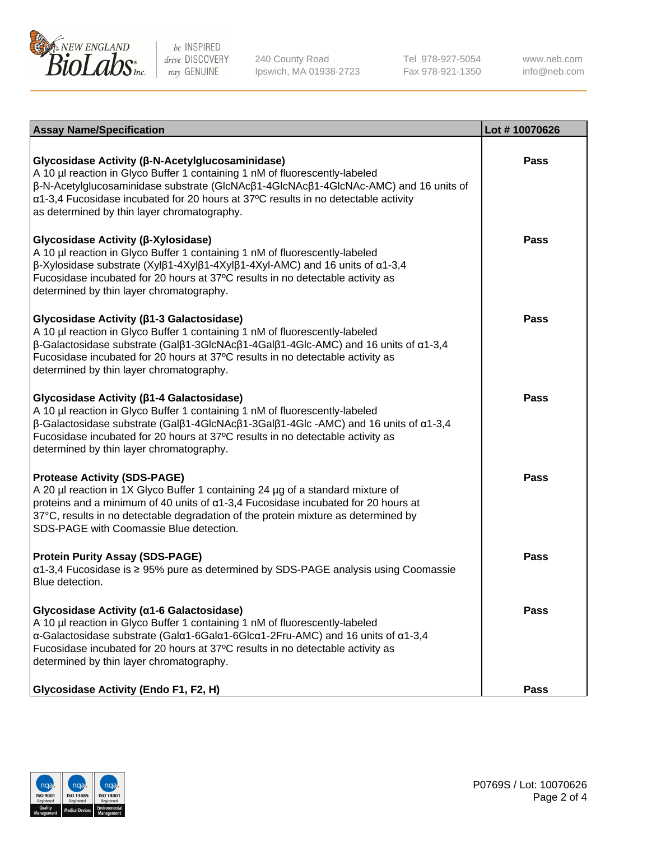

240 County Road Ipswich, MA 01938-2723 Tel 978-927-5054 Fax 978-921-1350 www.neb.com info@neb.com

| <b>Assay Name/Specification</b>                                                                                                                                                                                                                                                                                                                                      | Lot #10070626 |
|----------------------------------------------------------------------------------------------------------------------------------------------------------------------------------------------------------------------------------------------------------------------------------------------------------------------------------------------------------------------|---------------|
| Glycosidase Activity (β-N-Acetylglucosaminidase)<br>A 10 µl reaction in Glyco Buffer 1 containing 1 nM of fluorescently-labeled<br>β-N-Acetylglucosaminidase substrate (GlcNAcβ1-4GlcNAcβ1-4GlcNAc-AMC) and 16 units of<br>$\alpha$ 1-3,4 Fucosidase incubated for 20 hours at 37°C results in no detectable activity<br>as determined by thin layer chromatography. | <b>Pass</b>   |
| Glycosidase Activity (β-Xylosidase)<br>A 10 µl reaction in Glyco Buffer 1 containing 1 nM of fluorescently-labeled<br>β-Xylosidase substrate (Xylβ1-4Xylβ1-4Xylβ1-4Xyl-AMC) and 16 units of α1-3,4<br>Fucosidase incubated for 20 hours at 37°C results in no detectable activity as<br>determined by thin layer chromatography.                                     | Pass          |
| Glycosidase Activity (β1-3 Galactosidase)<br>A 10 µl reaction in Glyco Buffer 1 containing 1 nM of fluorescently-labeled<br>$\beta$ -Galactosidase substrate (Galβ1-3GlcNAcβ1-4Galβ1-4Glc-AMC) and 16 units of α1-3,4<br>Fucosidase incubated for 20 hours at 37°C results in no detectable activity as<br>determined by thin layer chromatography.                  | Pass          |
| Glycosidase Activity (β1-4 Galactosidase)<br>A 10 µl reaction in Glyco Buffer 1 containing 1 nM of fluorescently-labeled<br>$\beta$ -Galactosidase substrate (Galβ1-4GlcNAcβ1-3Galβ1-4Glc -AMC) and 16 units of α1-3,4<br>Fucosidase incubated for 20 hours at 37°C results in no detectable activity as<br>determined by thin layer chromatography.                 | Pass          |
| <b>Protease Activity (SDS-PAGE)</b><br>A 20 µl reaction in 1X Glyco Buffer 1 containing 24 µg of a standard mixture of<br>proteins and a minimum of 40 units of $\alpha$ 1-3,4 Fucosidase incubated for 20 hours at<br>37°C, results in no detectable degradation of the protein mixture as determined by<br>SDS-PAGE with Coomassie Blue detection.                 | Pass          |
| <b>Protein Purity Assay (SDS-PAGE)</b><br>α1-3,4 Fucosidase is ≥ 95% pure as determined by SDS-PAGE analysis using Coomassie<br>Blue detection.                                                                                                                                                                                                                      | Pass          |
| Glycosidase Activity (α1-6 Galactosidase)<br>A 10 µl reaction in Glyco Buffer 1 containing 1 nM of fluorescently-labeled<br>α-Galactosidase substrate (Galα1-6Galα1-6Glcα1-2Fru-AMC) and 16 units of α1-3,4<br>Fucosidase incubated for 20 hours at 37°C results in no detectable activity as<br>determined by thin layer chromatography.                            | <b>Pass</b>   |
| <b>Glycosidase Activity (Endo F1, F2, H)</b>                                                                                                                                                                                                                                                                                                                         | <b>Pass</b>   |

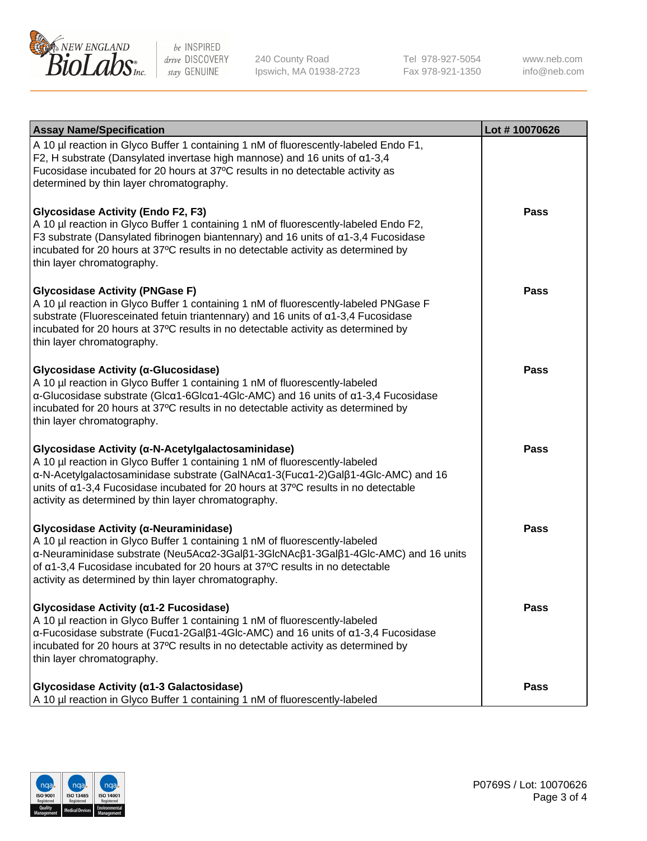

240 County Road Ipswich, MA 01938-2723 Tel 978-927-5054 Fax 978-921-1350 www.neb.com info@neb.com

| <b>Assay Name/Specification</b>                                                                                                                                                                                                                                                                                                                                     | Lot #10070626 |
|---------------------------------------------------------------------------------------------------------------------------------------------------------------------------------------------------------------------------------------------------------------------------------------------------------------------------------------------------------------------|---------------|
| A 10 µl reaction in Glyco Buffer 1 containing 1 nM of fluorescently-labeled Endo F1,<br>F2, H substrate (Dansylated invertase high mannose) and 16 units of $\alpha$ 1-3,4<br>Fucosidase incubated for 20 hours at 37°C results in no detectable activity as<br>determined by thin layer chromatography.                                                            |               |
| <b>Glycosidase Activity (Endo F2, F3)</b><br>A 10 µl reaction in Glyco Buffer 1 containing 1 nM of fluorescently-labeled Endo F2,<br>F3 substrate (Dansylated fibrinogen biantennary) and 16 units of $\alpha$ 1-3,4 Fucosidase<br>incubated for 20 hours at 37°C results in no detectable activity as determined by<br>thin layer chromatography.                  | <b>Pass</b>   |
| <b>Glycosidase Activity (PNGase F)</b><br>A 10 µl reaction in Glyco Buffer 1 containing 1 nM of fluorescently-labeled PNGase F<br>substrate (Fluoresceinated fetuin triantennary) and 16 units of $\alpha$ 1-3,4 Fucosidase<br>incubated for 20 hours at 37°C results in no detectable activity as determined by<br>thin layer chromatography.                      | <b>Pass</b>   |
| Glycosidase Activity (α-Glucosidase)<br>A 10 µl reaction in Glyco Buffer 1 containing 1 nM of fluorescently-labeled<br>$\alpha$ -Glucosidase substrate (Glc $\alpha$ 1-6Glc $\alpha$ 1-4Glc-AMC) and 16 units of $\alpha$ 1-3,4 Fucosidase<br>incubated for 20 hours at 37°C results in no detectable activity as determined by<br>thin layer chromatography.       | Pass          |
| Glycosidase Activity (α-N-Acetylgalactosaminidase)<br>A 10 µl reaction in Glyco Buffer 1 containing 1 nM of fluorescently-labeled<br>α-N-Acetylgalactosaminidase substrate (GalNAcα1-3(Fucα1-2)Galβ1-4Glc-AMC) and 16<br>units of a1-3,4 Fucosidase incubated for 20 hours at 37°C results in no detectable<br>activity as determined by thin layer chromatography. | <b>Pass</b>   |
| Glycosidase Activity (α-Neuraminidase)<br>A 10 µl reaction in Glyco Buffer 1 containing 1 nM of fluorescently-labeled<br>α-Neuraminidase substrate (Neu5Acα2-3Galβ1-3GlcNAcβ1-3Galβ1-4Glc-AMC) and 16 units<br>of α1-3,4 Fucosidase incubated for 20 hours at 37°C results in no detectable<br>activity as determined by thin layer chromatography.                 | Pass          |
| Glycosidase Activity (α1-2 Fucosidase)<br>A 10 µl reaction in Glyco Buffer 1 containing 1 nM of fluorescently-labeled<br>$\alpha$ -Fucosidase substrate (Fuc $\alpha$ 1-2Gal $\beta$ 1-4Glc-AMC) and 16 units of $\alpha$ 1-3,4 Fucosidase<br>incubated for 20 hours at 37°C results in no detectable activity as determined by<br>thin layer chromatography.       | <b>Pass</b>   |
| Glycosidase Activity (a1-3 Galactosidase)<br>A 10 µl reaction in Glyco Buffer 1 containing 1 nM of fluorescently-labeled                                                                                                                                                                                                                                            | <b>Pass</b>   |